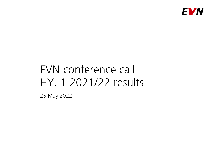

# EVN conference call HY. 1 2021/22 results

25 May 2022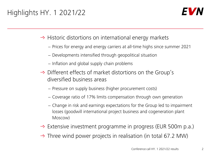## Highlights HY. 1 2021/22



 $\rightarrow$  Historic distortions on international energy markets

- − Prices for energy and energy carriers at all-time highs since summer 2021
- − Developments intensified through geopolitical situation
- − Inflation and global supply chain problems
- $\rightarrow$  Different effects of market distortions on the Group's diversified business areas
	- − Pressure on supply business (higher procurement costs)
	- − Coverage ratio of 17% limits compensation through own generation
	- − Change in risk and earnings expectations for the Group led to impairment losses (goodwill international project business and cogeneration plant Moscow)
- $\rightarrow$  Extensive investment programme in progress (EUR 500m p.a.)
- $\rightarrow$  Three wind power projects in realisation (in total 67.2 MW)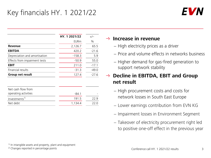### Key financials HY. 1 2021/22



|                               | HY. 1 2021/22 | $+/-$   |
|-------------------------------|---------------|---------|
|                               | <b>EURm</b>   | $\%$    |
| <b>Revenue</b>                | 2,126.7       | 65.5    |
| <b>EBITDA</b>                 | 420.2         | $-21.6$ |
| Depreciation and amortisation | $-158.3$      | 5.9     |
| Effects from impairment tests | $-50.9$       | 55.0    |
| <b>EBIT</b>                   | 211.0         | $-17.1$ |
| Financial results             | $-31.3$       | $-49.0$ |
| Group net result              | 127.4         | $-27.6$ |

| Net cash flow from        |         |      |
|---------------------------|---------|------|
| operating activities      | -84 1   |      |
| Investments <sup>1)</sup> | 1915    | 77 Q |
| Net debt                  | 1.134.4 | 22 O |

#### **Increase in revenue**

- − High electricity prices as a driver
- − Price and volume effects in networks business
- − Higher demand for gas-fired generation to support network stability

#### **Decline in EBITDA, EBIT and Group net result**

- − High procurement costs and costs for network losses in South East Europe
- − Lower earnings contribution from EVN KG
- − Impairment losses in Environment Segment
- − Takeover of electricity procurement right led to positive one-off effect in the previous year

2) Changes reported in percentage points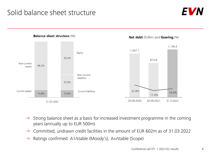### Solid balance sheet structure





- $\rightarrow$  Strong balance sheet as a basis for increased investment programme in the coming years (annually up to EUR 500m)
- $\rightarrow$  Committed, undrawn credit facilities in the amount of EUR 602m as of 31.03.2022
- $\rightarrow$  Ratings confirmed: A1/stable (Moody's), A+/stable (Scope)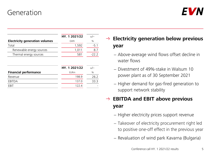### Generation



|                                       | HY. 1 2021/22 | $+/-$   |
|---------------------------------------|---------------|---------|
| <b>Electricity generation volumes</b> | GWh           | $\%$    |
| Total                                 | 1,592         | $-5.1$  |
| Renewable energy sources              | 1,011         | 8.7     |
| Thermal energy sources                | 581           | $-22.2$ |
|                                       | HY. 1 2021/22 | $+/-$   |
| <b>Financial performance</b>          | <b>EURm</b>   | $\%$    |
| Revenue                               | 198.9         | 26.2    |
| EBITDA                                | 137.0         | 33.3    |
| FRIT                                  | 122.4         |         |
|                                       |               |         |

### **Electricity generation below previous year**

- − Above-average wind flows offset decline in water flows
- − Divestment of 49%-stake in Walsum 10 power plant as of 30 September 2021
- − Higher demand for gas-fired generation to support network stability

### **EBITDA and EBIT above previous year**

- − Higher electricity prices support revenue
- − Takeover of electricity procurement right led to positive one-off effect in the previous year
- − Revaluation of wind park Kavarna (Bulgaria)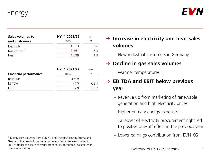Energy



| Sales volumes to          | HY. 1 2021/22 | $+/-$  |
|---------------------------|---------------|--------|
| end customers             | GWh           | $\%$   |
| Electricity <sup>1)</sup> | 4,613         | 0.6    |
| Natural gas <sup>1)</sup> | 3,861         | $-5.5$ |
| Heat                      | 1,599         |        |
|                           |               |        |

|                              | HY. 1 2021/22 | $+/-$   |
|------------------------------|---------------|---------|
| <b>Financial performance</b> | <b>EURm</b>   | $\%$    |
| Revenue                      | 394.9         |         |
| EBITDA                       | 48.5          | $-28.1$ |
| FRIT                         | 379           | -33 2   |

1) Mainly sales volumes from EVN KG and EnergieAllianz in Austria and Germany; the results from these two sales companies are included in EBITDA under the share of results from equity accounted investees with operational nature.

 **Increase in electricity and heat sales volumes**

− New industrial customers in Germany

#### → Decline in gas sales volumes

− Warmer temperatures

### **EBITDA and EBIT below previous year**

- − Revenue up from marketing of renewable generation and high electricity prices
- − Higher primary energy expenses
- − Takeover of electricity procurement right led to positive one-off effect in the previous year
- − Lower earnings contribution from EVN KG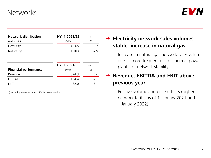### **Networks**



| <b>Network distribution</b>  | HY. 1 2021/22 | $+/-$  |
|------------------------------|---------------|--------|
| volumes                      | GWh           | $\%$   |
| Electricity                  | 4,665         | $-0.2$ |
| Natural gas <sup>1)</sup>    | 11,103        | 4.9    |
|                              |               |        |
|                              | HY. 1 2021/22 | $+/-$  |
| <b>Financial performance</b> | <b>EURm</b>   | $\%$   |
|                              |               |        |
| Revenue                      | 324.3         | 5.6    |
| EBITDA                       | 154.4         | 4.1    |

1) Including network sales to EVN's power stations

#### **Electricity network sales volumes stable, increase in natural gas**

− Increase in natural gas network sales volumes due to more frequent use of thermal power plants for network stability

### → Revenue, EBITDA and EBIT above **previous year**

− Positive volume and price effects (higher network tariffs as of 1 January 2021 and 1 January 2022)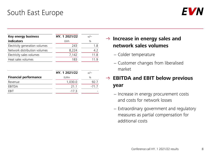### South East Europe



| <b>Key energy business</b>     | HY. 1 2021/22 | $+/-$ |
|--------------------------------|---------------|-------|
| indicators                     | GWh           | $\%$  |
| Electricity generation volumes | 243           | 1.8   |
| Network distribution volumes   | 8,224         | 4.2   |
| Electricity sales volumes      | 7,142         | 11.8  |
| Heat sales volumes             | 183           |       |

|                              | HY 1 2021/22 |               |
|------------------------------|--------------|---------------|
| <b>Financial performance</b> | <b>EURm</b>  | $\frac{0}{0}$ |
| Revenue                      | 1,030.0      | 92.7          |
| <b>FRITDA</b>                | 211          | $-717$        |
| FRIT                         | $-17.3$      |               |

#### **Increase in energy sales and network sales volumes**

- − Colder temperature
- − Customer changes from liberalised market

### **EBITDA and EBIT below previous year**

- − Increase in energy procurement costs and costs for network losses
- − Extraordinary government and regulatory measures as partial compensation for additional costs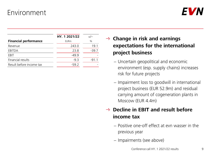### Environment



|                              | HY. 1 2021/22 | $+/-$   |
|------------------------------|---------------|---------|
| <b>Financial performance</b> | <b>EURm</b>   | $\%$    |
| Revenue                      | 243.0         | 19.1    |
| EBITDA                       | 23.8          | $-39.7$ |
| <b>FBIT</b>                  | $-49.9$       |         |
| Financial results            | $-9.3$        | $-91.1$ |
| Result before income tax     | $-59.2$       |         |

### **Change in risk and earnings expectations for the international project business**

- − Uncertain geopolitical and economic environment (esp. supply chains) increases risk for future projects
- − Impairment loss to goodwill in international project business (EUR 52.9m) and residual carrying amount of cogeneration plants in Moscow (EUR 4.4m)

### **Decline in EBIT and result before income tax**

- − Positive one-off effect at evn wasser in the previous year
- − Impairments (see above)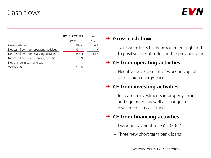### Cash flows



|                                         | HY. 1 2021/22 | $+/-$   |
|-----------------------------------------|---------------|---------|
|                                         | <b>EURm</b>   | in $%$  |
| Gross cash flow                         | 389.6         | $-34.1$ |
| Net cash flow from operating activities | $-84.1$       |         |
| Net cash flow from investing activities | $-255.4$      | 13.7    |
| Net cash flow from financing activities | 126.9         |         |
| Net change in cash and cash             |               |         |
| equivalents                             | $-212.6$      |         |

#### **Gross cash flow**

− Takeover of electricity procurement right led to positive one-off effect in the previous year

#### **CF from operating activities**

− Negative development of working capital due to high energy prices

#### **CF from investing activities**

− Increase in investments in property, plant and equipment as well as change in investments in cash funds

#### **CF from financing activities**

- − Dividend payment for FY 2020/21
- − Three new short-term bank loans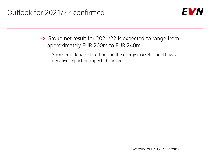

- $\rightarrow$  Group net result for 2021/22 is expected to range from approximately EUR 200m to EUR 240m
	- − Stronger or longer distortions on the energy markets could have a negative impact on expected earnings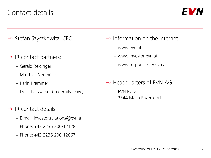### Contact details



- $\rightarrow$  Stefan Szyszkowitz, CEO
- $\rightarrow$  IR contact partners:
	- − Gerald Reidinger
	- − Matthias Neumüller
	- − Karin Krammer
	- − Doris Lohwasser (maternity leave)
- $\rightarrow$  IR contact details
	- − E-mail: investor.relations@evn.at
	- − Phone: +43 2236 200-12128
	- − Phone: +43 2236 200-12867
- $\rightarrow$  Information on the internet
	- − www.evn.at
	- − www.investor.evn.at
	- − www.responsibility.evn.at
- $\rightarrow$  Headquarters of EVN AG
	- − EVN Platz 2344 Maria Enzersdorf